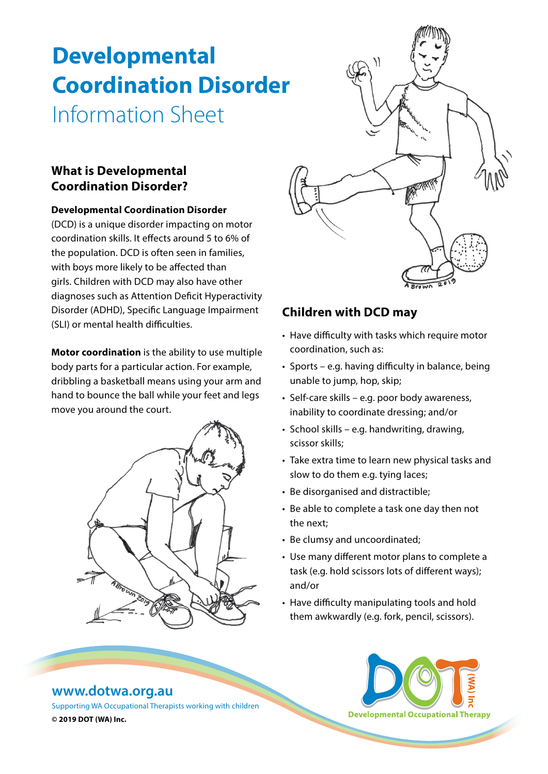# **Developmental Coordination Disorder** Information Sheet

### **What is Developmental Coordination Disorder?**

#### **Developmental Coordination Disorder**

(DCD) is a unique disorder impacting on motor coordination skills. It effects around 5 to 6% of the population. DCD is often seen in families, with boys more likely to be affected than girls. Children with DCD may also have other diagnoses such as Attention Deficit Hyperactivity Disorder (ADHD), Specific Language Impairment (SLI) or mental health difficulties.

**Motor coordination** is the ability to use multiple body parts for a particular action. For example, dribbling a basketball means using your arm and hand to bounce the ball while your feet and legs move you around the court.





# **Children with DCD may**

- Have difficulty with tasks which require motor coordination, such as:
- Sports e.g. having difficulty in balance, being unable to jump, hop, skip;
- Self-care skills e.g. poor body awareness, inability to coordinate dressing; and/or
- School skills e.g. handwriting, drawing, scissor skills;
- Take extra time to learn new physical tasks and slow to do them e.g. tying laces;
- Be disorganised and distractible;
- Be able to complete a task one day then not the next;
- Be clumsy and uncoordinated;
- Use many different motor plans to complete a task (e.g. hold scissors lots of different ways); and/or
- Have difficulty manipulating tools and hold them awkwardly (e.g. fork, pencil, scissors).

## **[www.dotwa.org.au](http://www.dotwa.org.au)**

Supporting WA Occupational Therapists working with children **© 2019 DOT (WA) Inc.**